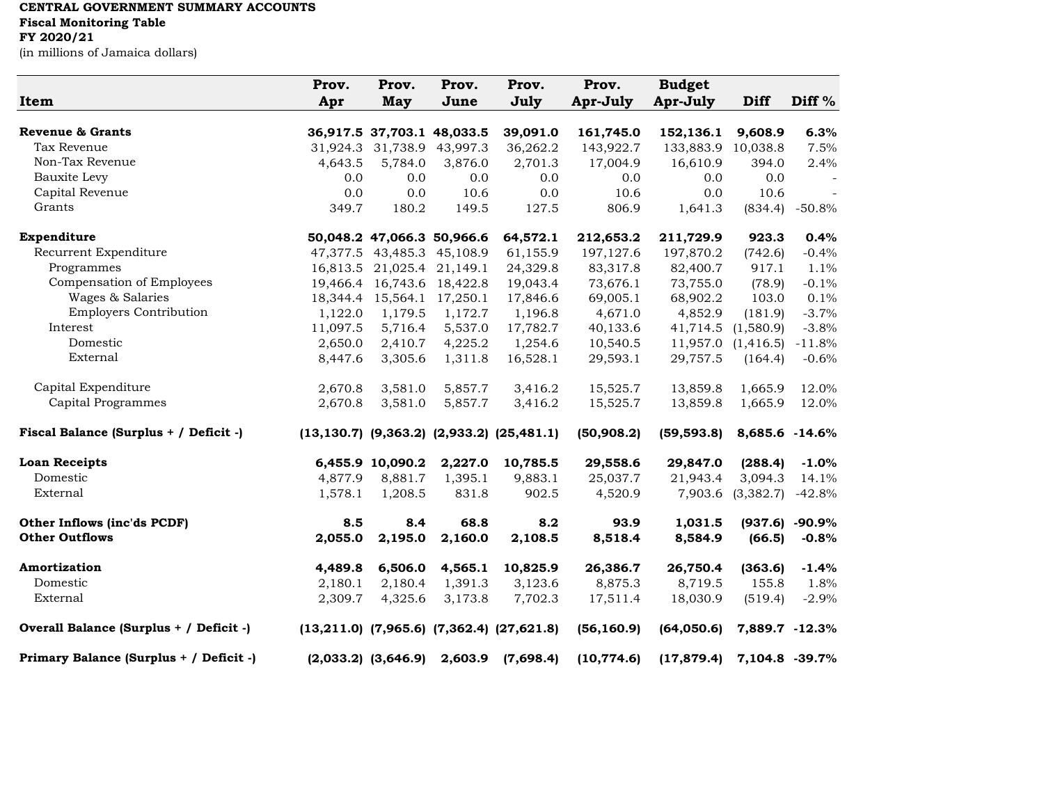## **CENTRAL GOVERNMENT SUMMARY ACCOUNTS Fiscal Monitoring Table FY 2020/21**

(in millions of Jamaica dollars)

| <b>Item</b>                             | Prov.<br>Apr | Prov.<br><b>May</b> | Prov.<br>June              | Prov.<br>July                                         | Prov.<br>Apr-July | <b>Budget</b><br>Apr-July   | <b>Diff</b>    | Diff $%$ |
|-----------------------------------------|--------------|---------------------|----------------------------|-------------------------------------------------------|-------------------|-----------------------------|----------------|----------|
| <b>Revenue &amp; Grants</b>             |              |                     | 36,917.5 37,703.1 48,033.5 | 39,091.0                                              | 161,745.0         | 152,136.1                   | 9,608.9        | 6.3%     |
| Tax Revenue                             | 31,924.3     |                     | 31,738.9 43,997.3          | 36,262.2                                              | 143,922.7         | 133,883.9                   | 10,038.8       | 7.5%     |
| Non-Tax Revenue                         | 4,643.5      | 5,784.0             | 3,876.0                    | 2,701.3                                               | 17,004.9          | 16,610.9                    | 394.0          | 2.4%     |
| Bauxite Levy                            | 0.0          | 0.0                 | 0.0                        | 0.0                                                   | 0.0               | 0.0                         | 0.0            |          |
| Capital Revenue                         | 0.0          | 0.0                 | 10.6                       | 0.0                                                   | 10.6              | 0.0                         | 10.6           | $\sim$   |
| Grants                                  | 349.7        | 180.2               | 149.5                      | 127.5                                                 | 806.9             | 1,641.3                     | (834.4)        | -50.8%   |
| Expenditure                             |              |                     | 50,048.2 47,066.3 50,966.6 | 64,572.1                                              | 212,653.2         | 211,729.9                   | 923.3          | 0.4%     |
| Recurrent Expenditure                   |              | 47,377.5 43,485.3   | 45,108.9                   | 61,155.9                                              | 197, 127.6        | 197,870.2                   | (742.6)        | $-0.4%$  |
| Programmes                              | 16,813.5     |                     | 21,025.4 21,149.1          | 24,329.8                                              | 83,317.8          | 82,400.7                    | 917.1          | 1.1%     |
| Compensation of Employees               | 19,466.4     | 16,743.6            | 18,422.8                   | 19,043.4                                              | 73,676.1          | 73,755.0                    | (78.9)         | $-0.1%$  |
| Wages & Salaries                        | 18,344.4     | 15,564.1            | 17,250.1                   | 17,846.6                                              | 69,005.1          | 68,902.2                    | 103.0          | 0.1%     |
| <b>Employers Contribution</b>           | 1,122.0      | 1,179.5             | 1,172.7                    | 1,196.8                                               | 4,671.0           | 4,852.9                     | (181.9)        | $-3.7%$  |
| Interest                                | 11,097.5     | 5,716.4             | 5,537.0                    | 17,782.7                                              | 40,133.6          | 41,714.5                    | (1,580.9)      | $-3.8%$  |
| Domestic                                | 2,650.0      | 2,410.7             | 4,225.2                    | 1,254.6                                               | 10,540.5          | 11,957.0                    | (1,416.5)      | $-11.8%$ |
| External                                | 8,447.6      | 3,305.6             | 1,311.8                    | 16,528.1                                              | 29,593.1          | 29,757.5                    | (164.4)        | $-0.6%$  |
| Capital Expenditure                     | 2,670.8      | 3,581.0             | 5,857.7                    | 3,416.2                                               | 15,525.7          | 13,859.8                    | 1,665.9        | 12.0%    |
| Capital Programmes                      | 2,670.8      | 3,581.0             | 5,857.7                    | 3,416.2                                               | 15,525.7          | 13,859.8                    | 1,665.9        | 12.0%    |
| Fiscal Balance (Surplus + / Deficit -)  |              |                     |                            | $(13, 130.7)$ $(9, 363.2)$ $(2, 933.2)$ $(25, 481.1)$ | (50,908.2)        | (59, 593.8)                 | 8,685.6 -14.6% |          |
| <b>Loan Receipts</b>                    |              | 6,455.9 10,090.2    | 2,227.0                    | 10,785.5                                              | 29,558.6          | 29,847.0                    | (288.4)        | $-1.0%$  |
| Domestic                                | 4,877.9      | 8,881.7             | 1,395.1                    | 9,883.1                                               | 25,037.7          | 21,943.4                    | 3,094.3        | 14.1%    |
| External                                | 1,578.1      | 1,208.5             | 831.8                      | 902.5                                                 | 4,520.9           | 7,903.6                     | (3,382.7)      | $-42.8%$ |
| Other Inflows (inc'ds PCDF)             | 8.5          | 8.4                 | 68.8                       | 8.2                                                   | 93.9              | 1,031.5                     | (937.6)        | $-90.9%$ |
| <b>Other Outflows</b>                   | 2,055.0      | 2,195.0             | 2,160.0                    | 2,108.5                                               | 8,518.4           | 8,584.9                     | (66.5)         | $-0.8%$  |
| Amortization                            | 4,489.8      | 6,506.0             | 4,565.1                    | 10,825.9                                              | 26,386.7          | 26,750.4                    | (363.6)        | $-1.4%$  |
| Domestic                                | 2,180.1      | 2,180.4             | 1,391.3                    | 3,123.6                                               | 8,875.3           | 8,719.5                     | 155.8          | 1.8%     |
| External                                | 2,309.7      | 4,325.6             | 3,173.8                    | 7,702.3                                               | 17,511.4          | 18,030.9                    | (519.4)        | $-2.9%$  |
| Overall Balance (Surplus + / Deficit -) |              |                     |                            | $(13,211.0)$ $(7,965.6)$ $(7,362.4)$ $(27,621.8)$     | (56, 160.9)       | (64,050.6)                  | 7,889.7 -12.3% |          |
| Primary Balance (Surplus + / Deficit -) |              |                     |                            | $(2,033.2)$ $(3,646.9)$ $2,603.9$ $(7,698.4)$         | (10, 774.6)       | $(17,879.4)$ 7,104.8 -39.7% |                |          |